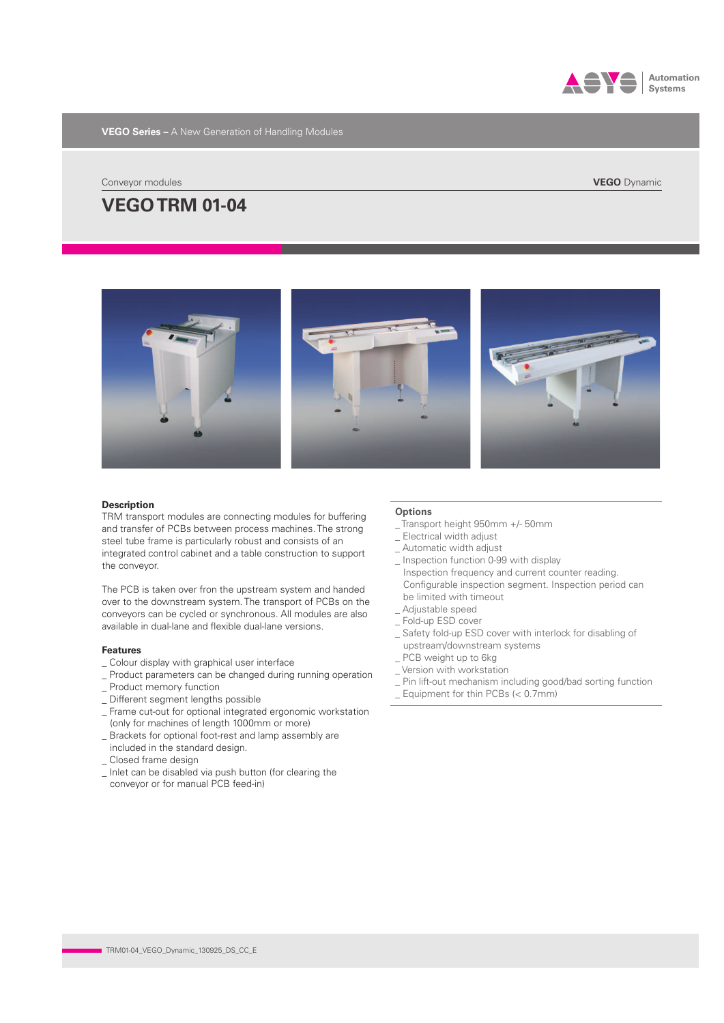

**VEGO Series –** A New Generation of Handling Modules

Conveyor modules

# **VEGO TRM 01-04**



## **Description**

TRM transport modules are connecting modules for buffering and transfer of PCBs between process machines. The strong steel tube frame is particularly robust and consists of an integrated control cabinet and a table construction to support the conveyor.

The PCB is taken over fron the upstream system and handed over to the downstream system. The transport of PCBs on the conveyors can be cycled or synchronous. All modules are also available in dual-lane and flexible dual-lane versions.

### **Features**

- \_ Colour display with graphical user interface
- \_ Product parameters can be changed during running operation
- \_ Product memory function
- Different segment lengths possible
- \_ Frame cut-out for optional integrated ergonomic workstation (only for machines of length 1000mm or more)
- \_ Brackets for optional foot-rest and lamp assembly are included in the standard design.
- \_ Closed frame design
- \_ Inlet can be disabled via push button (for clearing the conveyor or for manual PCB feed-in)

## **Options**

- \_ Transport height 950mm +/- 50mm
- \_ Electrical width adjust
- \_ Automatic width adjust
- \_ Inspection function 0-99 with display
- Inspection frequency and current counter reading. Configurable inspection segment. Inspection period can be limited with timeout \_ Adjustable speed
- \_ Fold-up ESD cover
- 
- \_ Safety fold-up ESD cover with interlock for disabling of upstream/downstream systems \_ PCB weight up to 6kg
- \_ Version with workstation
- \_ Pin lift-out mechanism including good/bad sorting function
- \_ Equipment for thin PCBs (< 0.7mm)

**VEGO** Dynamic